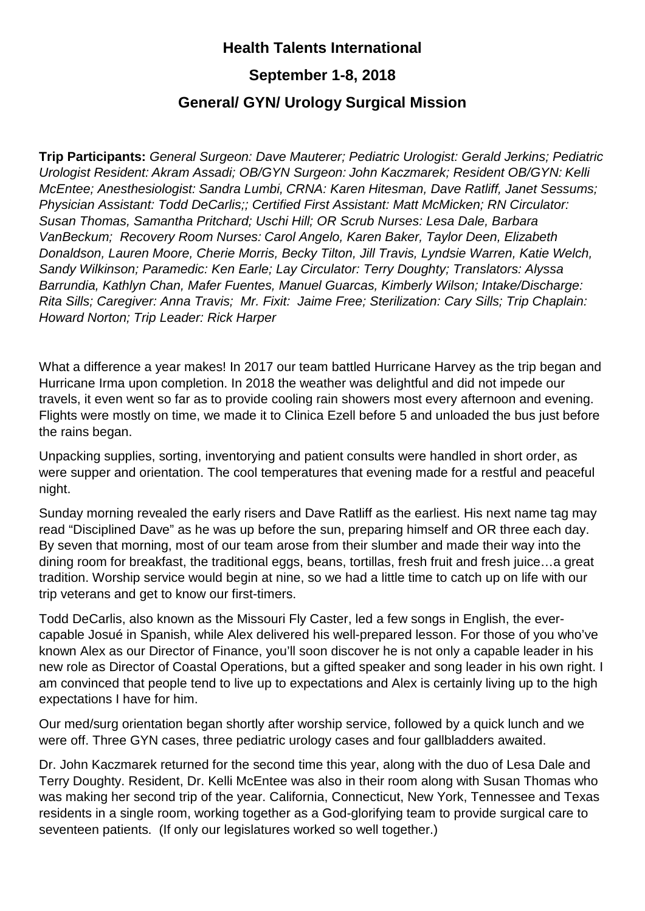## **Health Talents International**

## **September 1-8, 2018**

## **General/ GYN/ Urology Surgical Mission**

**Trip Participants:** *General Surgeon: Dave Mauterer; Pediatric Urologist: Gerald Jerkins; Pediatric Urologist Resident: Akram Assadi; OB/GYN Surgeon: John Kaczmarek; Resident OB/GYN: Kelli McEntee; Anesthesiologist: Sandra Lumbi, CRNA: Karen Hitesman, Dave Ratliff, Janet Sessums; Physician Assistant: Todd DeCarlis;; Certified First Assistant: Matt McMicken; RN Circulator: Susan Thomas, Samantha Pritchard; Uschi Hill; OR Scrub Nurses: Lesa Dale, Barbara VanBeckum; Recovery Room Nurses: Carol Angelo, Karen Baker, Taylor Deen, Elizabeth Donaldson, Lauren Moore, Cherie Morris, Becky Tilton, Jill Travis, Lyndsie Warren, Katie Welch, Sandy Wilkinson; Paramedic: Ken Earle; Lay Circulator: Terry Doughty; Translators: Alyssa Barrundia, Kathlyn Chan, Mafer Fuentes, Manuel Guarcas, Kimberly Wilson; Intake/Discharge: Rita Sills; Caregiver: Anna Travis; Mr. Fixit: Jaime Free; Sterilization: Cary Sills; Trip Chaplain: Howard Norton; Trip Leader: Rick Harper*

What a difference a year makes! In 2017 our team battled Hurricane Harvey as the trip began and Hurricane Irma upon completion. In 2018 the weather was delightful and did not impede our travels, it even went so far as to provide cooling rain showers most every afternoon and evening. Flights were mostly on time, we made it to Clinica Ezell before 5 and unloaded the bus just before the rains began.

Unpacking supplies, sorting, inventorying and patient consults were handled in short order, as were supper and orientation. The cool temperatures that evening made for a restful and peaceful night.

Sunday morning revealed the early risers and Dave Ratliff as the earliest. His next name tag may read "Disciplined Dave" as he was up before the sun, preparing himself and OR three each day. By seven that morning, most of our team arose from their slumber and made their way into the dining room for breakfast, the traditional eggs, beans, tortillas, fresh fruit and fresh juice…a great tradition. Worship service would begin at nine, so we had a little time to catch up on life with our trip veterans and get to know our first-timers.

Todd DeCarlis, also known as the Missouri Fly Caster, led a few songs in English, the evercapable Josué in Spanish, while Alex delivered his well-prepared lesson. For those of you who've known Alex as our Director of Finance, you'll soon discover he is not only a capable leader in his new role as Director of Coastal Operations, but a gifted speaker and song leader in his own right. I am convinced that people tend to live up to expectations and Alex is certainly living up to the high expectations I have for him.

Our med/surg orientation began shortly after worship service, followed by a quick lunch and we were off. Three GYN cases, three pediatric urology cases and four gallbladders awaited.

Dr. John Kaczmarek returned for the second time this year, along with the duo of Lesa Dale and Terry Doughty. Resident, Dr. Kelli McEntee was also in their room along with Susan Thomas who was making her second trip of the year. California, Connecticut, New York, Tennessee and Texas residents in a single room, working together as a God-glorifying team to provide surgical care to seventeen patients. (If only our legislatures worked so well together.)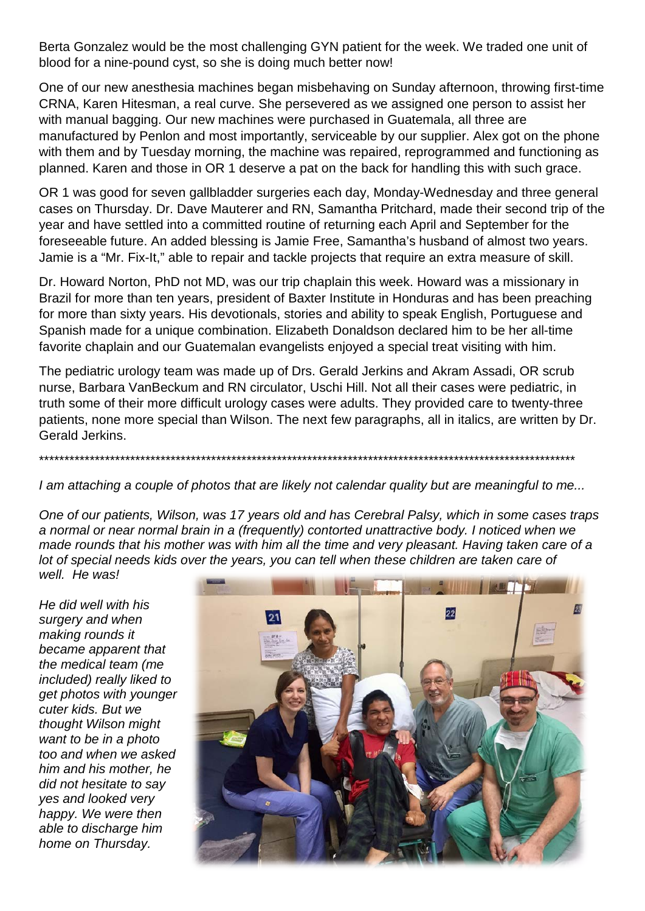Berta Gonzalez would be the most challenging GYN patient for the week. We traded one unit of blood for a nine-pound cyst, so she is doing much better now!

One of our new anesthesia machines began misbehaving on Sunday afternoon, throwing first-time CRNA, Karen Hitesman, a real curve. She persevered as we assigned one person to assist her with manual bagging. Our new machines were purchased in Guatemala, all three are manufactured by Penlon and most importantly, serviceable by our supplier. Alex got on the phone with them and by Tuesday morning, the machine was repaired, reprogrammed and functioning as planned. Karen and those in OR 1 deserve a pat on the back for handling this with such grace.

OR 1 was good for seven gallbladder surgeries each day, Monday-Wednesday and three general cases on Thursday. Dr. Dave Mauterer and RN, Samantha Pritchard, made their second trip of the year and have settled into a committed routine of returning each April and September for the foreseeable future. An added blessing is Jamie Free, Samantha's husband of almost two years. Jamie is a "Mr. Fix-It," able to repair and tackle projects that require an extra measure of skill.

Dr. Howard Norton, PhD not MD, was our trip chaplain this week. Howard was a missionary in Brazil for more than ten years, president of Baxter Institute in Honduras and has been preaching for more than sixty years. His devotionals, stories and ability to speak English, Portuguese and Spanish made for a unique combination. Elizabeth Donaldson declared him to be her all-time favorite chaplain and our Guatemalan evangelists enjoyed a special treat visiting with him.

The pediatric urology team was made up of Drs. Gerald Jerkins and Akram Assadi, OR scrub nurse, Barbara VanBeckum and RN circulator, Uschi Hill. Not all their cases were pediatric, in truth some of their more difficult urology cases were adults. They provided care to twenty-three patients, none more special than Wilson. The next few paragraphs, all in italics, are written by Dr. Gerald Jerkins.

\*\*\*\*\*\*\*\*\*\*\*\*\*\*\*\*\*\*\*\*\*\*\*\*\*\*\*\*\*\*\*\*\*\*\*\*\*\*\*\*\*\*\*\*\*\*\*\*\*\*\*\*\*\*\*\*\*\*\*\*\*\*\*\*\*\*\*\*\*\*\*\*\*\*\*\*\*\*\*\*\*\*\*\*\*\*\*\*\*\*\*\*\*\*\*\*\*\*\*\*\*\*\*\*\*\*

*I am attaching a couple of photos that are likely not calendar quality but are meaningful to me...*

*One of our patients, Wilson, was 17 years old and has Cerebral Palsy, which in some cases traps a normal or near normal brain in a (frequently) contorted unattractive body. I noticed when we made rounds that his mother was with him all the time and very pleasant. Having taken care of a lot of special needs kids over the years, you can tell when these children are taken care of well. He was!*

*He did well with his surgery and when making rounds it became apparent that the medical team (me included) really liked to get photos with younger cuter kids. But we thought Wilson might want to be in a photo too and when we asked him and his mother, he did not hesitate to say yes and looked very happy. We were then able to discharge him home on Thursday.*

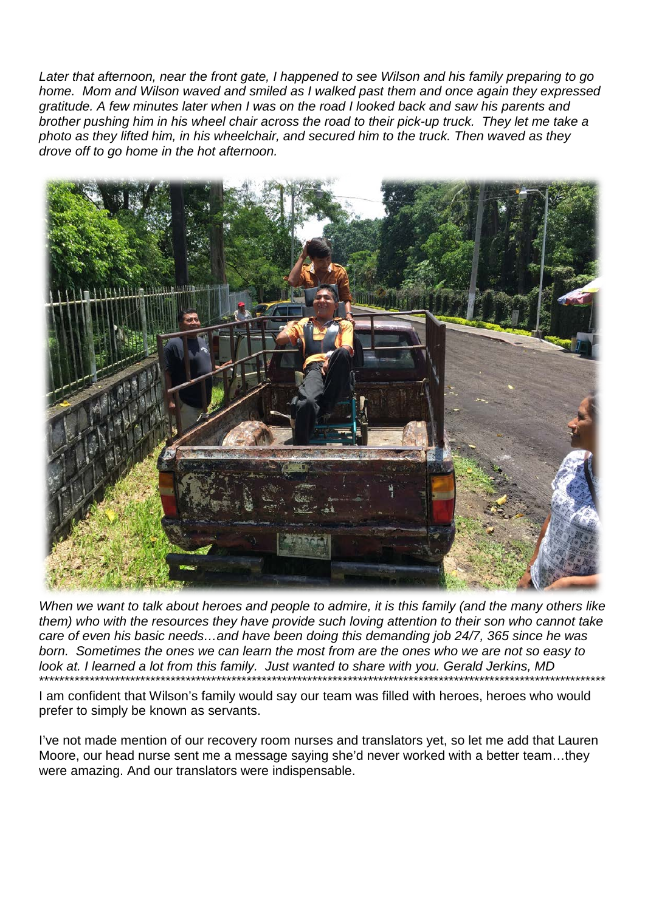*Later that afternoon, near the front gate, I happened to see Wilson and his family preparing to go home. Mom and Wilson waved and smiled as I walked past them and once again they expressed gratitude. A few minutes later when I was on the road I looked back and saw his parents and brother pushing him in his wheel chair across the road to their pick-up truck. They let me take a photo as they lifted him, in his wheelchair, and secured him to the truck. Then waved as they drove off to go home in the hot afternoon.*



*When we want to talk about heroes and people to admire, it is this family (and the many others like them) who with the resources they have provide such loving attention to their son who cannot take care of even his basic needs…and have been doing this demanding job 24/7, 365 since he was born. Sometimes the ones we can learn the most from are the ones who we are not so easy to look at. I learned a lot from this family. Just wanted to share with you. Gerald Jerkins, MD* \*\*\*\*\*\*\*\*\*\*\*\*\*\*\*\*\*\*\*\*\*\*\*\*\*\*\*\*\*\*\*\*\*\*\*\*\*\*\*\*\*\*\*\*\*\*\*\*\*\*\*\*\*\*\*\*\*\*\*\*\*\*\*\*\*\*\*\*\*\*\*\*\*\*\*\*\*\*\*\*\*\*\*\*\*\*\*\*\*\*\*\*\*\*\*\*\*\*\*\*\*\*\*\*\*\*\*\*\*\*\*\*

I am confident that Wilson's family would say our team was filled with heroes, heroes who would prefer to simply be known as servants.

I've not made mention of our recovery room nurses and translators yet, so let me add that Lauren Moore, our head nurse sent me a message saying she'd never worked with a better team…they were amazing. And our translators were indispensable.